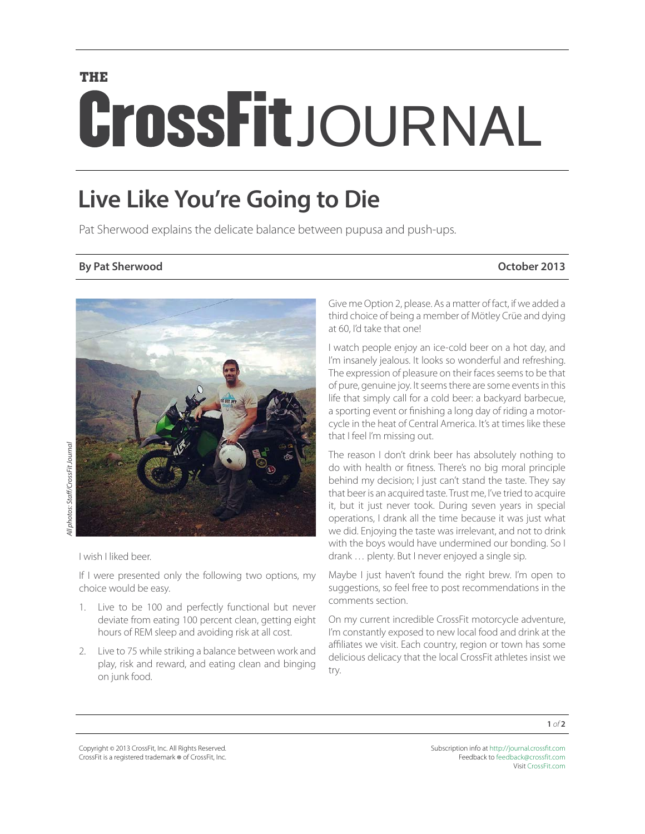# **THE** CrossFitJOURNAL

## **Live Like You're Going to Die**

Pat Sherwood explains the delicate balance between pupusa and push-ups.

## **By Pat Sherwood October 2013**



I wish I liked beer.

All photos: Staff/CrossFit Journal

**Ill** photos: Staff/CrossFit Journal

If I were presented only the following two options, my choice would be easy.

- 1. Live to be 100 and perfectly functional but never deviate from eating 100 percent clean, getting eight hours of REM sleep and avoiding risk at all cost.
- 2. Live to 75 while striking a balance between work and play, risk and reward, and eating clean and binging on junk food.

Give me Option 2, please. As a matter of fact, if we added a third choice of being a member of Mötley Crüe and dying at 60, I'd take that one!

I watch people enjoy an ice-cold beer on a hot day, and I'm insanely jealous. It looks so wonderful and refreshing. The expression of pleasure on their faces seems to be that of pure, genuine joy. It seems there are some events in this life that simply call for a cold beer: a backyard barbecue, a sporting event or finishing a long day of riding a motorcycle in the heat of Central America. It's at times like these that I feel I'm missing out.

The reason I don't drink beer has absolutely nothing to do with health or fitness. There's no big moral principle behind my decision; I just can't stand the taste. They say that beer is an acquired taste. Trust me, I've tried to acquire it, but it just never took. During seven years in special operations, I drank all the time because it was just what we did. Enjoying the taste was irrelevant, and not to drink with the boys would have undermined our bonding. So I drank … plenty. But I never enjoyed a single sip.

Maybe I just haven't found the right brew. I'm open to suggestions, so feel free to post recommendations in the comments section.

On my current incredible CrossFit motorcycle adventure, I'm constantly exposed to new local food and drink at the affiliates we visit. Each country, region or town has some delicious delicacy that the local CrossFit athletes insist we try.

Copyright © 2013 CrossFit, Inc. All Rights Reserved. CrossFit is a registered trademark ® of CrossFit, Inc.

Subscription info at <http://journal.crossfit.com> Feedback to [feedback@crossfit.com](mailto:feedback@crossfit.com) Visit [CrossFit.com](http://www.crossfit.com)

**1** of **2**